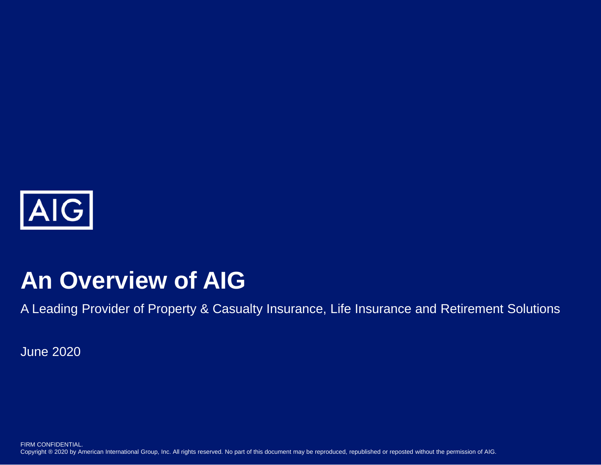

# **An Overview of AIG**

A Leading Provider of Property & Casualty Insurance, Life Insurance and Retirement Solutions

June 2020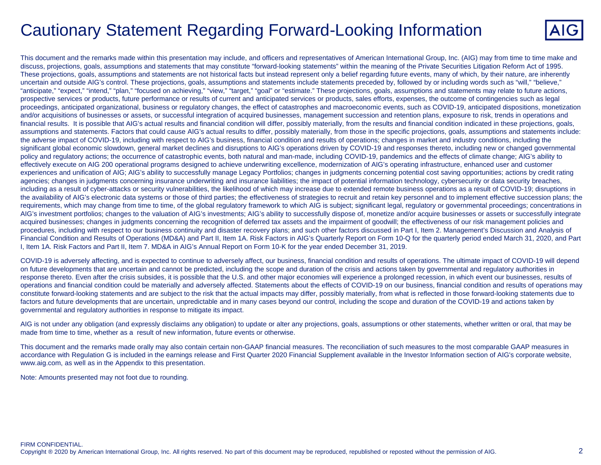# Cautionary Statement Regarding Forward-Looking Information



This document and the remarks made within this presentation may include, and officers and representatives of American International Group, Inc. (AIG) may from time to time make and discuss, projections, goals, assumptions and statements that may constitute "forward-looking statements" within the meaning of the Private Securities Litigation Reform Act of 1995. These projections, goals, assumptions and statements are not historical facts but instead represent only a belief regarding future events, many of which, by their nature, are inherently uncertain and outside AIG's control. These projections, goals, assumptions and statements include statements preceded by, followed by or including words such as "will," "believe," "anticipate," "expect," "intend," "plan," "focused on achieving," "view," "target," "goal" or "estimate." These projections, goals, assumptions and statements may relate to future actions, prospective services or products, future performance or results of current and anticipated services or products, sales efforts, expenses, the outcome of contingencies such as legal proceedings, anticipated organizational, business or regulatory changes, the effect of catastrophes and macroeconomic events, such as COVID-19, anticipated dispositions, monetization and/or acquisitions of businesses or assets, or successful integration of acquired businesses, management succession and retention plans, exposure to risk, trends in operations and financial results. It is possible that AIG's actual results and financial condition will differ, possibly materially, from the results and financial condition indicated in these projections, goals, assumptions and statements. Factors that could cause AIG's actual results to differ, possibly materially, from those in the specific projections, goals, assumptions and statements include: the adverse impact of COVID-19, including with respect to AIG's business, financial condition and results of operations; changes in market and industry conditions, including the significant global economic slowdown, general market declines and disruptions to AIG's operations driven by COVID-19 and responses thereto, including new or changed governmental policy and regulatory actions; the occurrence of catastrophic events, both natural and man-made, including COVID-19, pandemics and the effects of climate change; AIG's ability to effectively execute on AIG 200 operational programs designed to achieve underwriting excellence, modernization of AIG's operating infrastructure, enhanced user and customer experiences and unification of AIG; AIG's ability to successfully manage Legacy Portfolios; changes in judgments concerning potential cost saving opportunities; actions by credit rating agencies; changes in judgments concerning insurance underwriting and insurance liabilities; the impact of potential information technology, cybersecurity or data security breaches, including as a result of cyber-attacks or security vulnerabilities, the likelihood of which may increase due to extended remote business operations as a result of COVID-19; disruptions in the availability of AIG's electronic data systems or those of third parties; the effectiveness of strategies to recruit and retain key personnel and to implement effective succession plans; the requirements, which may change from time to time, of the global regulatory framework to which AIG is subject; significant legal, regulatory or governmental proceedings; concentrations in AIG's investment portfolios; changes to the valuation of AIG's investments; AIG's ability to successfully dispose of, monetize and/or acquire businesses or assets or successfully integrate acquired businesses; changes in judgments concerning the recognition of deferred tax assets and the impairment of goodwill; the effectiveness of our risk management policies and procedures, including with respect to our business continuity and disaster recovery plans; and such other factors discussed in Part I, Item 2. Management's Discussion and Analysis of Financial Condition and Results of Operations (MD&A) and Part II, Item 1A. Risk Factors in AIG's Quarterly Report on Form 10-Q for the quarterly period ended March 31, 2020, and Part I, Item 1A. Risk Factors and Part II, Item 7. MD&A in AIG's Annual Report on Form 10-K for the year ended December 31, 2019.

COVID-19 is adversely affecting, and is expected to continue to adversely affect, our business, financial condition and results of operations. The ultimate impact of COVID-19 will depend on future developments that are uncertain and cannot be predicted, including the scope and duration of the crisis and actions taken by governmental and regulatory authorities in response thereto. Even after the crisis subsides, it is possible that the U.S. and other major economies will experience a prolonged recession, in which event our businesses, results of operations and financial condition could be materially and adversely affected. Statements about the effects of COVID-19 on our business, financial condition and results of operations may constitute forward-looking statements and are subject to the risk that the actual impacts may differ, possibly materially, from what is reflected in those forward-looking statements due to factors and future developments that are uncertain, unpredictable and in many cases beyond our control, including the scope and duration of the COVID-19 and actions taken by governmental and regulatory authorities in response to mitigate its impact.

AIG is not under any obligation (and expressly disclaims any obligation) to update or alter any projections, goals, assumptions or other statements, whether written or oral, that may be made from time to time, whether as a result of new information, future events or otherwise.

This document and the remarks made orally may also contain certain non-GAAP financial measures. The reconciliation of such measures to the most comparable GAAP measures in accordance with Regulation G is included in the earnings release and First Quarter 2020 Financial Supplement available in the Investor Information section of AIG's corporate website, www.aig.com, as well as in the Appendix to this presentation.

Note: Amounts presented may not foot due to rounding.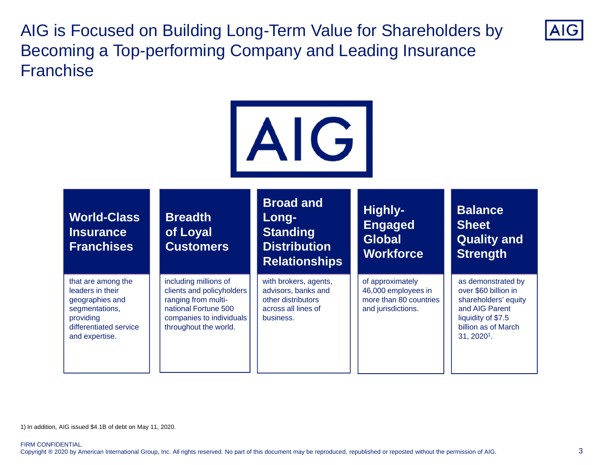AIG is Focused on Building Long-Term Value for Shareholders by Becoming a Top-performing Company and Leading Insurance **Franchise** 



1) In addition, AIG issued \$4.1B of debt on May 11, 2020.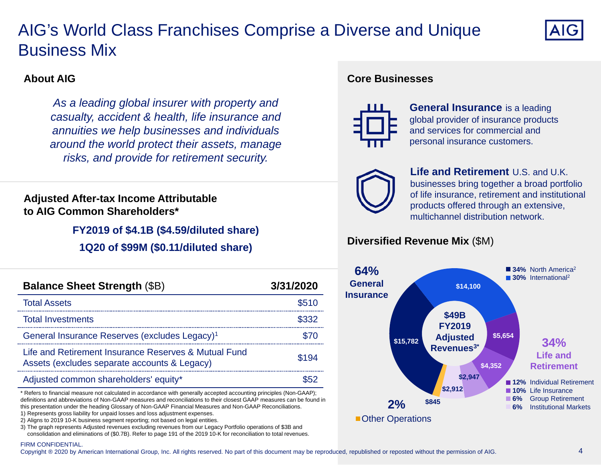# AIG's World Class Franchises Comprise a Diverse and Unique Business Mix



### **About AIG**

*As a leading global insurer with property and casualty, accident & health, life insurance and annuities we help businesses and individuals around the world protect their assets, manage risks, and provide for retirement security.*

### **Adjusted After-tax Income Attributable to AIG Common Shareholders\***

**FY2019 of \$4.1B (\$4.59/diluted share)**

**1Q20 of \$99M (\$0.11/diluted share)**

| <b>Balance Sheet Strength (\$B)</b>                                                                  | 3/31/2020 |
|------------------------------------------------------------------------------------------------------|-----------|
| <b>Total Assets</b>                                                                                  | \$510     |
| <b>Total Investments</b>                                                                             |           |
| General Insurance Reserves (excludes Legacy) <sup>1</sup>                                            |           |
| Life and Retirement Insurance Reserves & Mutual Fund<br>Assets (excludes separate accounts & Legacy) | \$194     |
| Adjusted common shareholders' equity*                                                                |           |

\* Refers to financial measure not calculated in accordance with generally accepted accounting principles (Non-GAAP); definitions and abbreviations of Non-GAAP measures and reconciliations to their closest GAAP measures can be found in this presentation under the heading Glossary of Non-GAAP Financial Measures and Non-GAAP Reconciliations.

- 1) Represents gross liability for unpaid losses and loss adjustment expenses.
- 2) Aligns to 2019 10-K business segment reporting; not based on legal entities.

3) The graph represents Adjusted revenues excluding revenues from our Legacy Portfolio operations of \$3B and consolidation and eliminations of (\$0.7B). Refer to page 191 of the 2019 10-K for reconciliation to total revenues.

#### **Core Businesses**



**General Insurance** is a leading global provider of insurance products and services for commercial and personal insurance customers.



**Life and Retirement** U.S. and U.K. businesses bring together a broad portfolio of life insurance, retirement and institutional products offered through an extensive, multichannel distribution network.

### **Diversified Revenue Mix** (\$M)



#### FIRM CONFIDENTIAL.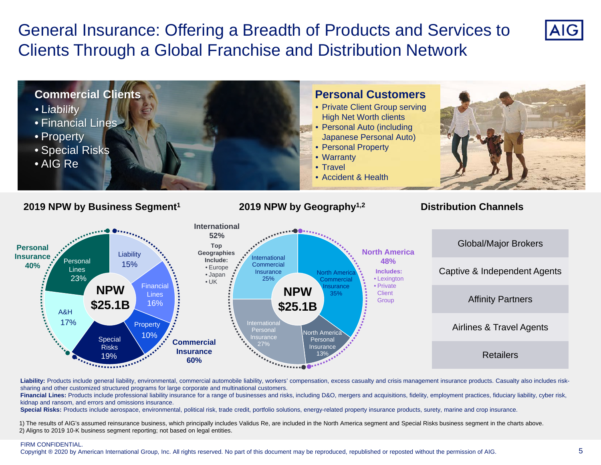General Insurance: Offering a Breadth of Products and Services to Clients Through a Global Franchise and Distribution Network



Liability: Products include general liability, environmental, commercial automobile liability, workers' compensation, excess casualty and crisis management insurance products. Casualty also includes risksharing and other customized structured programs for large corporate and multinational customers.

**Financial Lines:** Products include professional liability insurance for a range of businesses and risks, including D&O, mergers and acquisitions, fidelity, employment practices, fiduciary liability, cyber risk, kidnap and ransom, and errors and omissions insurance.

**Special Risks:** Products include aerospace, environmental, political risk, trade credit, portfolio solutions, energy-related property insurance products, surety, marine and crop insurance.

1) The results of AIG's assumed reinsurance business, which principally includes Validus Re, are included in the North America segment and Special Risks business segment in the charts above. 2) Aligns to 2019 10-K business segment reporting; not based on legal entities.

#### FIRM CONFIDENTIAL.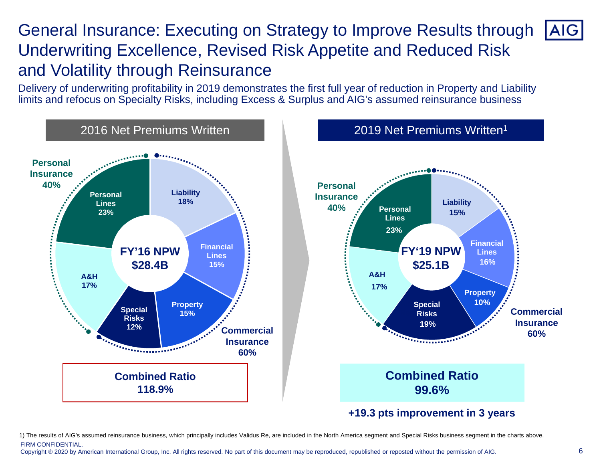## General Insurance: Executing on Strategy to Improve Results through **AIG** Underwriting Excellence, Revised Risk Appetite and Reduced Risk and Volatility through Reinsurance

Delivery of underwriting profitability in 2019 demonstrates the first full year of reduction in Property and Liability limits and refocus on Specialty Risks, including Excess & Surplus and AIG's assumed reinsurance business



1) The results of AIG's assumed reinsurance business, which principally includes Validus Re, are included in the North America segment and Special Risks business segment in the charts above. FIRM CONFIDENTIAL.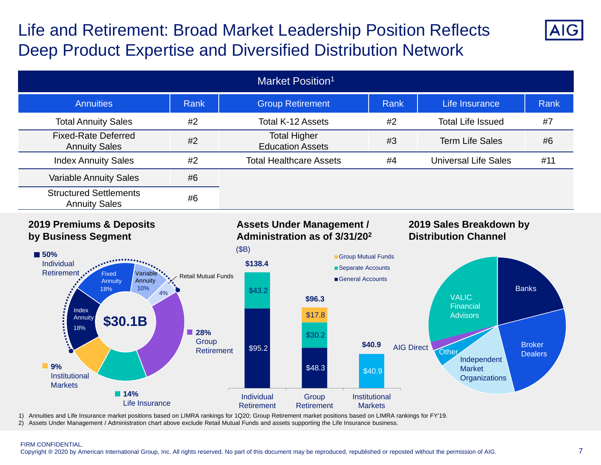# Life and Retirement: Broad Market Leadership Position Reflects Deep Product Expertise and Diversified Distribution Network



### **2019 Premiums & Deposits by Business Segment**

### **Assets Under Management / Administration as of 3/31/202**

### **2019 Sales Breakdown by Distribution Channel**



1) Annuities and Life Insurance market positions based on LIMRA rankings for 1Q20; Group Retirement market positions based on LIMRA rankings for FY'19. 2) Assets Under Management / Administration chart above exclude Retail Mutual Funds and assets supporting the Life Insurance business.

#### FIRM CONFIDENTIAL.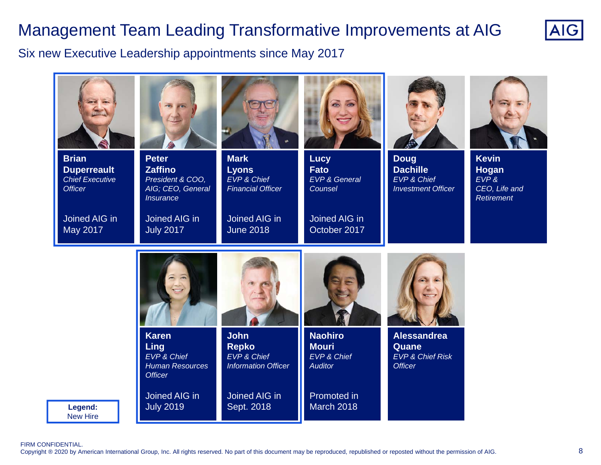# Management Team Leading Transformative Improvements at AIG



Six new Executive Leadership appointments since May 2017



FIRM CONFIDENTIAL.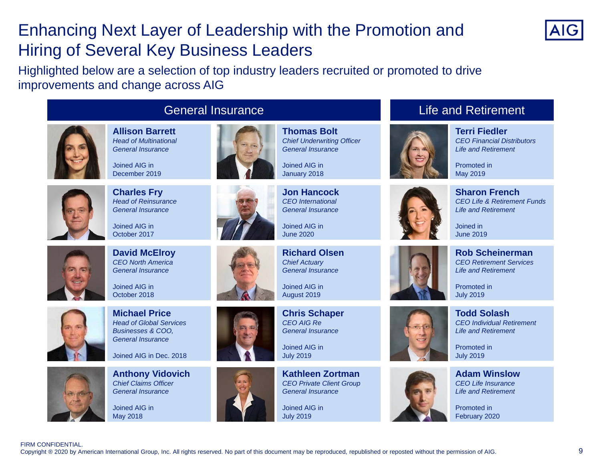# Enhancing Next Layer of Leadership with the Promotion and Hiring of Several Key Business Leaders



Highlighted below are a selection of top industry leaders recruited or promoted to drive improvements and change across AIG



**Allison Barrett***Head of MultinationalGeneral Insurance*

Joined AIG inDecember 2019



**Charles Fry** *Head of Reinsurance General Insurance*

Joined AIG inOctober 2017



**David McElroy** *CEO North AmericaGeneral Insurance*

Joined AIG inOctober 2018



**Michael Price***Head of Global ServicesBusinesses & COO, General Insurance*

Joined AIG in Dec. 2018



**Anthony Vidovich** *Chief Claims Officer General Insurance*

Joined AIG inMay 2018





Joined AIG in

January 2018

**Jon Hancock***CEO InternationalGeneral Insurance*

Joined AIG inJune 2020

**Richard Olsen***Chief Actuary General Insurance*

Joined AIG inAugust 2019

**Chris Schaper** *CEO AIG ReGeneral Insurance*

Joined AIG inJuly 2019

**Kathleen Zortman***CEO Private Client Group General Insurance*

Joined AIG inJuly 2019

### Life and Retirement



**Terri Fiedler***CEO Financial DistributorsLife and Retirement*

Promoted inMay 2019



**Sharon French***CEO Life & Retirement FundsLife and Retirement*

Joined inJune 2019



Promoted inJuly 2019

Promoted inJuly 2019

**Todd Solash**

*CEO Individual RetirementLife and Retirement*





**Adam Winslow***CEO Life InsuranceLife and Retirement*

Promoted inFebruary 2020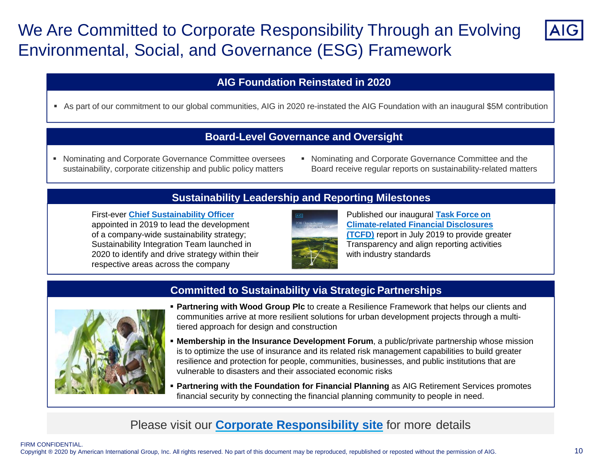# We Are Committed to Corporate Responsibility Through an Evolving Environmental, Social, and Governance (ESG) Framework



### **AIG Foundation Reinstated in 2020**

As part of our commitment to our global communities, AIG in 2020 re-instated the AIG Foundation with an inaugural \$5M contribution

### **Board-Level Governance and Oversight**

- Nominating and Corporate Governance Committee oversees sustainability, corporate citizenship and public policy matters
- Nominating and Corporate Governance Committee and the Board receive regular reports on sustainability-related matters

### **Sustainability Leadership and Reporting Milestones**

**First-ever Chief Sustainability Officer Published our inaugural Task Force on** appointed in 2019 to lead the development **Climate-related Financial Disclosures** of a company-wide sustainability strategy; **(TCFD)** report in July 2019 to provide greater Sustainability Integration Team launched in Transparency and align reporting activities 2020 to identify and drive strategy within their with industry standards respective areas across the company





### **Committed to Sustainability via Strategic Partnerships**

- **Partnering with Wood Group Plc** to create a Resilience Framework that helps our clients and communities arrive at more resilient solutions for urban development projects through a multitiered approach for design and construction
- **Membership in the Insurance Development Forum**, a public/private partnership whose mission is to optimize the use of insurance and its related risk management capabilities to build greater resilience and protection for people, communities, businesses, and public institutions that are vulnerable to disasters and their associated economic risks
- **Partnering with the Foundation for Financial Planning** as AIG Retirement Services promotes financial security by connecting the financial planning community to people in need.

## Please visit our **Corporate Responsibility site** for more details

#### FIRM CONFIDENTIAL.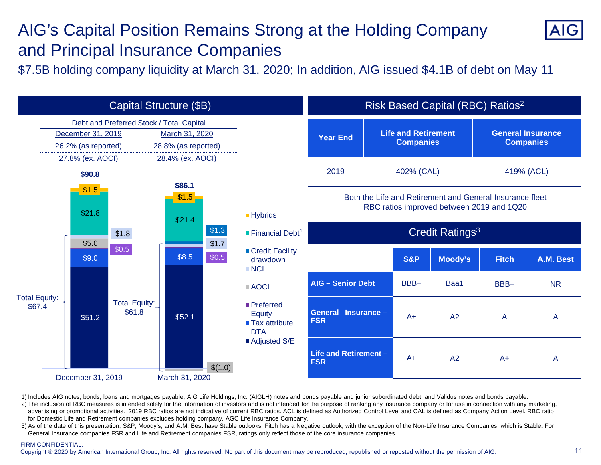# AIG's Capital Position Remains Strong at the Holding Company and Principal Insurance Companies



\$7.5B holding company liquidity at March 31, 2020; In addition, AIG issued \$4.1B of debt on May 11



1) Includes AIG notes, bonds, loans and mortgages payable, AIG Life Holdings, Inc. (AIGLH) notes and bonds payable and junior subordinated debt, and Validus notes and bonds payable.

2) The inclusion of RBC measures is intended solely for the information of investors and is not intended for the purpose of ranking any insurance company or for use in connection with any marketing, advertising or promotional activities. 2019 RBC ratios are not indicative of current RBC ratios. ACL is defined as Authorized Control Level and CAL is defined as Company Action Level. RBC ratio for Domestic Life and Retirement companies excludes holding company, AGC Life Insurance Company.

3) As of the date of this presentation, S&P, Moody's, and A.M. Best have Stable outlooks. Fitch has a Negative outlook, with the exception of the Non-Life Insurance Companies, which is Stable. For General Insurance companies FSR and Life and Retirement companies FSR, ratings only reflect those of the core insurance companies.

#### FIRM CONFIDENTIAL.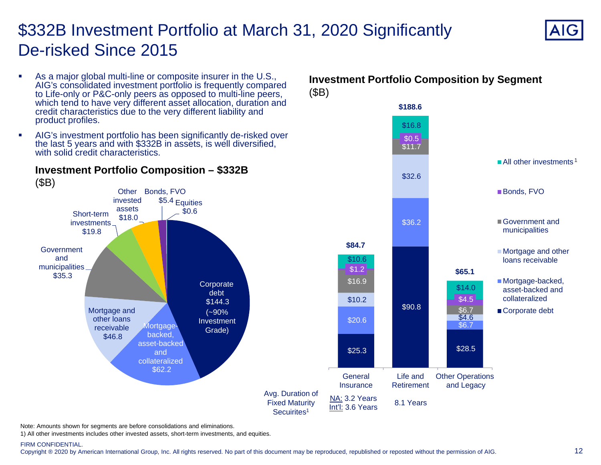# \$332B Investment Portfolio at March 31, 2020 Significantly De-risked Since 2015



All other investments <sup>1</sup>

Bonds, FVO

Government and municipalities

■ Mortgage and other loans receivable

■ Mortgage-backed, asset-backed andcollateralizedCorporate debt

- $\overline{\phantom{a}}$ As a major global multi-line or composite insurer in the U.S., AIG's consolidated investment portfolio is frequently compared to Life-only or P&C-only peers as opposed to multi-line peers, which tend to have very different asset allocation, duration and credit characteristics due to the very different liability and product profiles.
- $\mathcal{L}_{\mathcal{A}}$  AIG's investment portfolio has been significantly de-risked over the last 5 years and with \$332B in assets, is well diversified, with solid credit characteristics.



### **Investment Portfolio Composition – \$332B**

Note: Amounts shown for segments are before consolidations and eliminations.

1) All other investments includes other invested assets, short-term investments, and equities.

#### FIRM CONFIDENTIAL.

Copyright ® 2020 by American International Group, Inc. All rights reserved. No part of this document may be reproduced, republished or reposted without the permission of AIG.

### **Investment Portfolio Composition by Segment** (\$B)

\$11.7

 $$0.5$ 

\$16.8

**\$188.6**

\$28.5

Other Operations and Legacy

\$6.7

\$4.6

\$6.7

 $$4.5$ 

\$14.0

**\$65.1**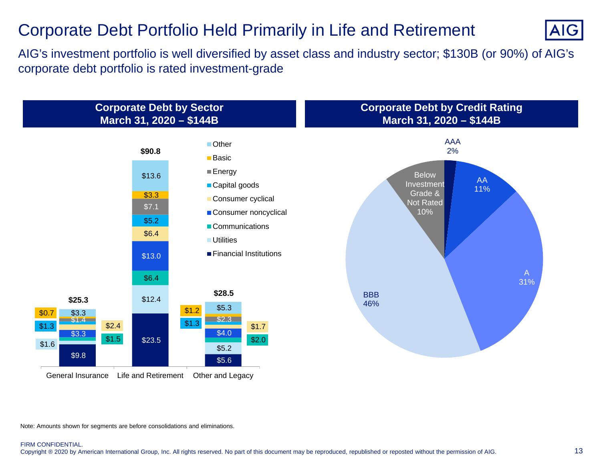## Corporate Debt Portfolio Held Primarily in Life and Retirement



AIG's investment portfolio is well diversified by asset class and industry sector; \$130B (or 90%) of AIG's corporate debt portfolio is rated investment-grade



Note: Amounts shown for segments are before consolidations and eliminations.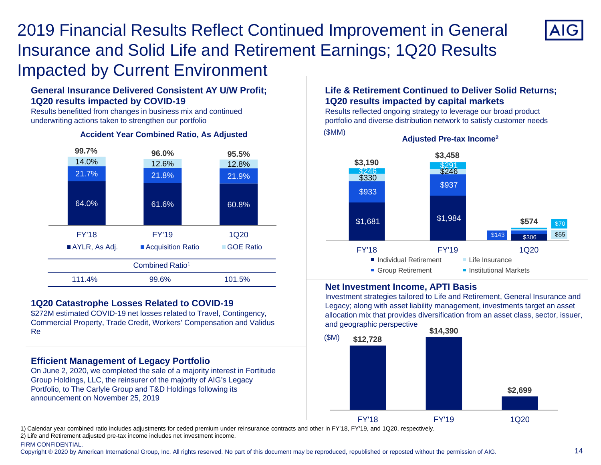# 2019 Financial Results Reflect Continued Improvement in General Insurance and Solid Life and Retirement Earnings; 1Q20 Results Impacted by Current Environment



Results benefitted from changes in business mix and continued underwriting actions taken to strengthen our portfolio



#### **Accident Year Combined Ratio, As Adjusted**

#### **1Q20 Catastrophe Losses Related to COVID-19**

\$272M estimated COVID-19 net losses related to Travel, Contingency, Commercial Property, Trade Credit, Workers' Compensation and Validus Re

#### **Efficient Management of Legacy Portfolio**

On June 2, 2020, we completed the sale of a majority interest in Fortitude Group Holdings, LLC, the reinsurer of the majority of AIG's Legacy Portfolio, to The Carlyle Group and T&D Holdings following its announcement on November 25, 2019

#### **Life & Retirement Continued to Deliver Solid Returns; 1Q20 results impacted by capital markets**

Results reflected ongoing strategy to leverage our broad product portfolio and diverse distribution network to satisfy customer needs (\$MM)



#### **Net Investment Income, APTI Basis**

Investment strategies tailored to Life and Retirement, General Insurance and Legacy; along with asset liability management, investments target an asset allocation mix that provides diversification from an asset class, sector, issuer, and geographic perspective



1) Calendar year combined ratio includes adjustments for ceded premium under reinsurance contracts and other in FY'18, FY'19, and 1Q20, respectively. 2) Life and Retirement adjusted pre-tax income includes net investment income.

FIRM CONFIDENTIAL.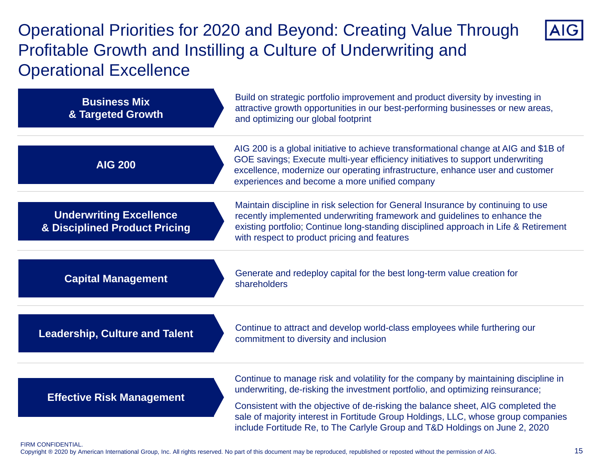# Operational Priorities for 2020 and Beyond: Creating Value Through Profitable Growth and Instilling a Culture of Underwriting and Operational Excellence



| <b>Business Mix</b><br>& Targeted Growth                                   | Build on strategic portfolio improvement and product diversity by investing in<br>attractive growth opportunities in our best-performing businesses or new areas,<br>and optimizing our global footprint                                                                                                 |
|----------------------------------------------------------------------------|----------------------------------------------------------------------------------------------------------------------------------------------------------------------------------------------------------------------------------------------------------------------------------------------------------|
| <b>AIG 200</b>                                                             | AIG 200 is a global initiative to achieve transformational change at AIG and \$1B of<br>GOE savings; Execute multi-year efficiency initiatives to support underwriting<br>excellence, modernize our operating infrastructure, enhance user and customer<br>experiences and become a more unified company |
| <b>Underwriting Excellence</b><br><b>&amp; Disciplined Product Pricing</b> | Maintain discipline in risk selection for General Insurance by continuing to use<br>recently implemented underwriting framework and guidelines to enhance the<br>existing portfolio; Continue long-standing disciplined approach in Life & Retirement<br>with respect to product pricing and features    |
| <b>Capital Management</b>                                                  | Generate and redeploy capital for the best long-term value creation for<br>shareholders                                                                                                                                                                                                                  |
| <b>Leadership, Culture and Talent</b>                                      | Continue to attract and develop world-class employees while furthering our<br>commitment to diversity and inclusion                                                                                                                                                                                      |
|                                                                            | Continue to manage risk and volatility for the company by maintaining discipline in                                                                                                                                                                                                                      |
| <b>Effective Risk Management</b>                                           | underwriting, de-risking the investment portfolio, and optimizing reinsurance;                                                                                                                                                                                                                           |
|                                                                            | Consistent with the objective of de-risking the balance sheet, AIG completed the<br>sale of majority interest in Fortitude Group Holdings, LLC, whose group companies<br>include Fortitude Re, to The Carlyle Group and T&D Holdings on June 2, 2020                                                     |

#### FIRM CONFIDENTIAL.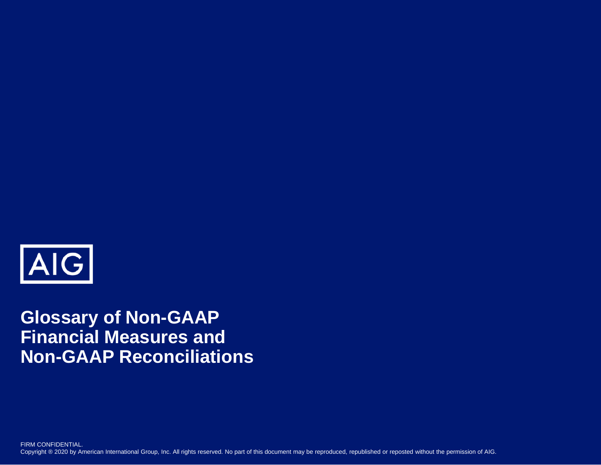

# **Glossary of Non-GAAP Financial Measures and Non-GAAP Reconciliations**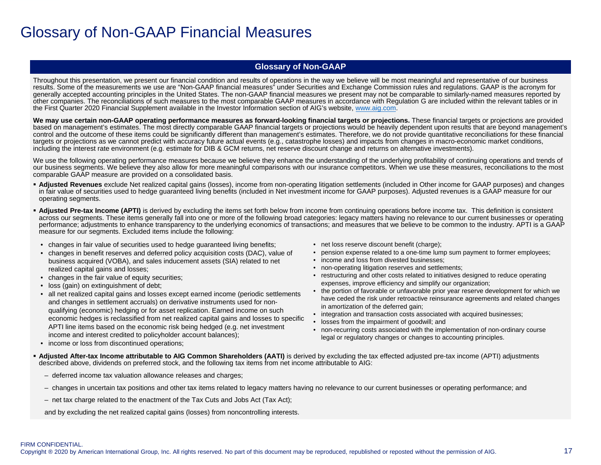## Glossary of Non-GAAP Financial Measures

#### **Glossary of Non-GAAP**

Throughout this presentation, we present our financial condition and results of operations in the way we believe will be most meaningful and representative of our business results. Some of the measurements we use are "Non-GAAP financial measures" under Securities and Exchange Commission rules and regulations. GAAP is the acronym for generally accepted accounting principles in the United States. The non-GAAP financial measures we present may not be comparable to similarly-named measures reported by other companies. The reconciliations of such measures to the most comparable GAAP measures in accordance with Regulation G are included within the relevant tables or in the First Quarter 2020 Financial Supplement available in the Investor Information section of AIG's website, www.aig.com.

We may use certain non-GAAP operating performance measures as forward-looking financial targets or projections. These financial targets or projections are provided based on management's estimates. The most directly comparable GAAP financial targets or projections would be heavily dependent upon results that are beyond management's control and the outcome of these items could be significantly different than management's estimates. Therefore, we do not provide quantitative reconciliations for these financial targets or projections as we cannot predict with accuracy future actual events (e.g., catastrophe losses) and impacts from changes in macro-economic market conditions, including the interest rate environment (e.g. estimate for DIB & GCM returns, net reserve discount change and returns on alternative investments).

We use the following operating performance measures because we believe they enhance the understanding of the underlying profitability of continuing operations and trends of our business segments. We believe they also allow for more meaningful comparisons with our insurance competitors. When we use these measures, reconciliations to the most comparable GAAP measure are provided on a consolidated basis.

- **Adjusted Revenues** exclude Net realized capital gains (losses), income from non-operating litigation settlements (included in Other income for GAAP purposes) and changes in fair value of securities used to hedge guaranteed living benefits (included in Net investment income for GAAP purposes). Adjusted revenues is a GAAP measure for our operating segments.
- **Adjusted Pre-tax Income (APTI)** is derived by excluding the items set forth below from income from continuing operations before income tax. This definition is consistent across our segments. These items generally fall into one or more of the following broad categories: legacy matters having no relevance to our current businesses or operating performance; adjustments to enhance transparency to the underlying economics of transactions; and measures that we believe to be common to the industry. APTI is a GAAP measure for our segments. Excluded items include the following:
	- changes in fair value of securities used to hedge guaranteed living benefits;
	- changes in benefit reserves and deferred policy acquisition costs (DAC), value of business acquired (VOBA), and sales inducement assets (SIA) related to net realized capital gains and losses;
- changes in the fair value of equity securities;
- loss (gain) on extinguishment of debt;
- all net realized capital gains and losses except earned income (periodic settlements and changes in settlement accruals) on derivative instruments used for nonqualifying (economic) hedging or for asset replication. Earned income on such economic hedges is reclassified from net realized capital gains and losses to specific APTI line items based on the economic risk being hedged (e.g. net investment income and interest credited to policyholder account balances);
- net loss reserve discount benefit (charge);
- pension expense related to a one-time lump sum payment to former employees;
- income and loss from divested businesses;
- non-operating litigation reserves and settlements;
- restructuring and other costs related to initiatives designed to reduce operating expenses, improve efficiency and simplify our organization;
- the portion of favorable or unfavorable prior year reserve development for which we have ceded the risk under retroactive reinsurance agreements and related changes in amortization of the deferred gain;
- integration and transaction costs associated with acquired businesses;
- losses from the impairment of goodwill; and
- non-recurring costs associated with the implementation of non-ordinary course legal or regulatory changes or changes to accounting principles.
- income or loss from discontinued operations;
- **Adjusted After-tax Income attributable to AIG Common Shareholders (AATI)** is derived by excluding the tax effected adjusted pre-tax income (APTI) adjustments described above, dividends on preferred stock, and the following tax items from net income attributable to AIG:
	- deferred income tax valuation allowance releases and charges;
	- changes in uncertain tax positions and other tax items related to legacy matters having no relevance to our current businesses or operating performance; and
	- net tax charge related to the enactment of the Tax Cuts and Jobs Act (Tax Act);

and by excluding the net realized capital gains (losses) from noncontrolling interests.

FIRM CONFIDENTIAL.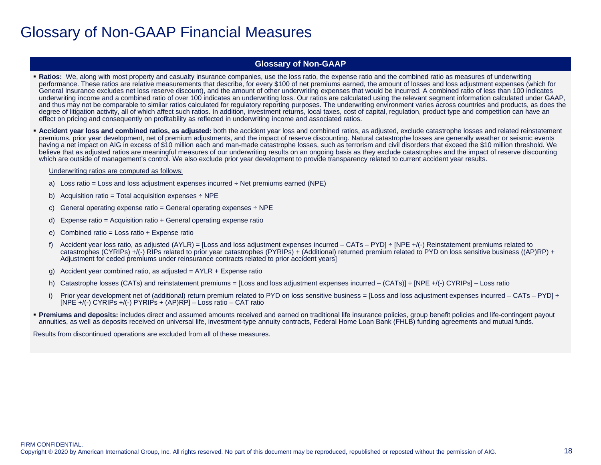## Glossary of Non-GAAP Financial Measures

#### **Glossary of Non-GAAP**

- **Ratios:** We, along with most property and casualty insurance companies, use the loss ratio, the expense ratio and the combined ratio as measures of underwriting performance. These ratios are relative measurements that describe, for every \$100 of net premiums earned, the amount of losses and loss adjustment expenses (which for General Insurance excludes net loss reserve discount), and the amount of other underwriting expenses that would be incurred. A combined ratio of less than 100 indicates underwriting income and a combined ratio of over 100 indicates an underwriting loss. Our ratios are calculated using the relevant segment information calculated under GAAP, and thus may not be comparable to similar ratios calculated for regulatory reporting purposes. The underwriting environment varies across countries and products, as does the degree of litigation activity, all of which affect such ratios. In addition, investment returns, local taxes, cost of capital, regulation, product type and competition can have an effect on pricing and consequently on profitability as reflected in underwriting income and associated ratios.
- **Accident year loss and combined ratios, as adjusted:** both the accident year loss and combined ratios, as adjusted, exclude catastrophe losses and related reinstatement premiums, prior year development, net of premium adjustments, and the impact of reserve discounting. Natural catastrophe losses are generally weather or seismic events having a net impact on AIG in excess of \$10 million each and man-made catastrophe losses, such as terrorism and civil disorders that exceed the \$10 million threshold. We believe that as adjusted ratios are meaningful measures of our underwriting results on an ongoing basis as they exclude catastrophes and the impact of reserve discounting which are outside of management's control. We also exclude prior year development to provide transparency related to current accident year results.

#### Underwriting ratios are computed as follows:

- a) Loss ratio = Loss and loss adjustment expenses incurred  $\div$  Net premiums earned (NPE)
- b) Acquisition ratio = Total acquisition expenses  $\div$  NPE
- c) General operating expense ratio = General operating expenses  $\div$  NPE
- d) Expense ratio = Acquisition ratio + General operating expense ratio
- e) Combined ratio = Loss ratio + Expense ratio
- f) Accident year loss ratio, as adjusted (AYLR) = [Loss and loss adjustment expenses incurred CATs PYD]  $\div$  [NPE +/(-) Reinstatement premiums related to catastrophes (CYRIPs) +/(-) RIPs related to prior year catastrophes (PYRIPs) + (Additional) returned premium related to PYD on loss sensitive business ((AP)RP) + Adjustment for ceded premiums under reinsurance contracts related to prior accident years]
- g) Accident year combined ratio, as adjusted  $=$  AYLR  $+$  Expense ratio
- h) Catastrophe losses (CATs) and reinstatement premiums = [Loss and loss adjustment expenses incurred (CATs)] ÷ [NPE +/(-) CYRIPs] Loss ratio
- i) Prior year development net of (additional) return premium related to PYD on loss sensitive business = [Loss and loss adjustment expenses incurred CATs PYD]  $\div$ [NPE +/(-) CYRIPs +/(-) PYRIPs + (AP)RP] – Loss ratio – CAT ratio
- **Premiums and deposits:** includes direct and assumed amounts received and earned on traditional life insurance policies, group benefit policies and life-contingent payout annuities, as well as deposits received on universal life, investment-type annuity contracts, Federal Home Loan Bank (FHLB) funding agreements and mutual funds.

Results from discontinued operations are excluded from all of these measures.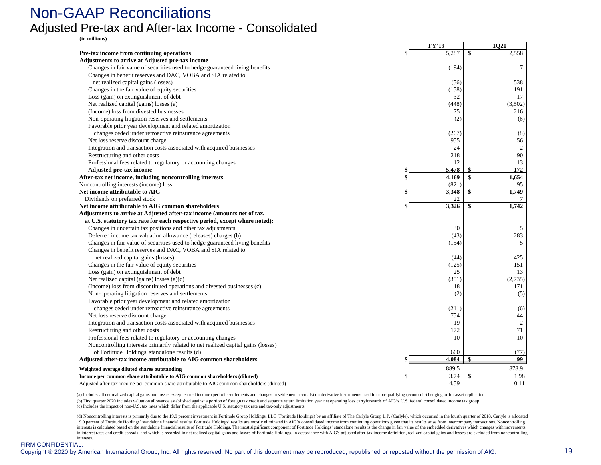## Non-GAAP Reconciliations Adjusted Pre-tax and After-tax Income - Consolidated

**(in millions)**

| Pre-tax income from continuing operations<br>Adjustments to arrive at Adjusted pre-tax income<br>Changes in fair value of securities used to hedge guaranteed living benefits<br>Changes in benefit reserves and DAC, VOBA and SIA related to<br>net realized capital gains (losses)<br>Changes in the fair value of equity securities | \$. | 5,287<br>(194)<br>(56)<br>(158)<br>32 | \$ | 2,558<br>7<br>538 |
|----------------------------------------------------------------------------------------------------------------------------------------------------------------------------------------------------------------------------------------------------------------------------------------------------------------------------------------|-----|---------------------------------------|----|-------------------|
|                                                                                                                                                                                                                                                                                                                                        |     |                                       |    |                   |
|                                                                                                                                                                                                                                                                                                                                        |     |                                       |    |                   |
|                                                                                                                                                                                                                                                                                                                                        |     |                                       |    |                   |
|                                                                                                                                                                                                                                                                                                                                        |     |                                       |    |                   |
|                                                                                                                                                                                                                                                                                                                                        |     |                                       |    |                   |
|                                                                                                                                                                                                                                                                                                                                        |     |                                       |    | 191               |
| Loss (gain) on extinguishment of debt                                                                                                                                                                                                                                                                                                  |     |                                       |    | 17                |
| Net realized capital (gains) losses (a)                                                                                                                                                                                                                                                                                                |     | (448)                                 |    | (3,502)           |
| (Income) loss from divested businesses                                                                                                                                                                                                                                                                                                 |     | 75                                    |    | 216               |
| Non-operating litigation reserves and settlements                                                                                                                                                                                                                                                                                      |     | (2)                                   |    | (6)               |
| Favorable prior year development and related amortization                                                                                                                                                                                                                                                                              |     |                                       |    |                   |
| changes ceded under retroactive reinsurance agreements                                                                                                                                                                                                                                                                                 |     | (267)                                 |    | (8)               |
| Net loss reserve discount charge                                                                                                                                                                                                                                                                                                       |     | 955                                   |    | 56                |
| Integration and transaction costs associated with acquired businesses                                                                                                                                                                                                                                                                  |     | 24                                    |    | $\mathbf{2}$      |
| Restructuring and other costs                                                                                                                                                                                                                                                                                                          |     | 218                                   |    | 90                |
| Professional fees related to regulatory or accounting changes                                                                                                                                                                                                                                                                          |     | 12                                    |    | 13                |
| <b>Adjusted pre-tax income</b>                                                                                                                                                                                                                                                                                                         |     | 5.478                                 |    | 172               |
| After-tax net income, including noncontrolling interests                                                                                                                                                                                                                                                                               |     | 4,169                                 | \$ | 1,654             |
| Noncontrolling interests (income) loss                                                                                                                                                                                                                                                                                                 |     | (821)                                 |    | 95                |
| Net income attributable to AIG                                                                                                                                                                                                                                                                                                         |     | 3,348                                 | \$ | 1,749             |
| Dividends on preferred stock                                                                                                                                                                                                                                                                                                           |     | 22                                    |    |                   |
| Net income attributable to AIG common shareholders                                                                                                                                                                                                                                                                                     |     | 3,326                                 | \$ | 1,742             |
| Adjustments to arrive at Adjusted after-tax income (amounts net of tax,                                                                                                                                                                                                                                                                |     |                                       |    |                   |
| at U.S. statutory tax rate for each respective period, except where noted):                                                                                                                                                                                                                                                            |     |                                       |    |                   |
| Changes in uncertain tax positions and other tax adjustments                                                                                                                                                                                                                                                                           |     | 30                                    |    | 5                 |
| Deferred income tax valuation allowance (releases) charges (b)                                                                                                                                                                                                                                                                         |     | (43)                                  |    | 283               |
| Changes in fair value of securities used to hedge guaranteed living benefits                                                                                                                                                                                                                                                           |     | (154)                                 |    | 5                 |
| Changes in benefit reserves and DAC, VOBA and SIA related to                                                                                                                                                                                                                                                                           |     |                                       |    |                   |
|                                                                                                                                                                                                                                                                                                                                        |     |                                       |    | 425               |
| net realized capital gains (losses)<br>Changes in the fair value of equity securities                                                                                                                                                                                                                                                  |     | (44)                                  |    | 151               |
|                                                                                                                                                                                                                                                                                                                                        |     | (125)<br>25                           |    | 13                |
| Loss (gain) on extinguishment of debt                                                                                                                                                                                                                                                                                                  |     |                                       |    |                   |
| Net realized capital (gains) losses $(a)(c)$                                                                                                                                                                                                                                                                                           |     | (351)                                 |    | (2,735)           |
| (Income) loss from discontinued operations and divested businesses (c)                                                                                                                                                                                                                                                                 |     | 18                                    |    | 171               |
| Non-operating litigation reserves and settlements                                                                                                                                                                                                                                                                                      |     | (2)                                   |    | (5)               |
| Favorable prior year development and related amortization                                                                                                                                                                                                                                                                              |     |                                       |    |                   |
| changes ceded under retroactive reinsurance agreements                                                                                                                                                                                                                                                                                 |     | (211)                                 |    | (6)               |
| Net loss reserve discount charge                                                                                                                                                                                                                                                                                                       |     | 754                                   |    | 44                |
| Integration and transaction costs associated with acquired businesses                                                                                                                                                                                                                                                                  |     | 19                                    |    | $\sqrt{2}$        |
| Restructuring and other costs                                                                                                                                                                                                                                                                                                          |     | 172                                   |    | 71                |
| Professional fees related to regulatory or accounting changes                                                                                                                                                                                                                                                                          |     | 10                                    |    | 10                |
| Noncontrolling interests primarily related to net realized capital gains (losses)                                                                                                                                                                                                                                                      |     |                                       |    |                   |
| of Fortitude Holdings' standalone results (d)                                                                                                                                                                                                                                                                                          |     | 660                                   |    | (77)              |
| Adjusted after-tax income attributable to AIG common shareholders                                                                                                                                                                                                                                                                      |     | 4.084                                 |    | 99                |
| Weighted average diluted shares outstanding                                                                                                                                                                                                                                                                                            |     | 889.5                                 |    | 878.9             |
| Income per common share attributable to AIG common shareholders (diluted)                                                                                                                                                                                                                                                              | \$  | 3.74                                  | -S | 1.98              |
| Adjusted after-tax income per common share attributable to AIG common shareholders (diluted)                                                                                                                                                                                                                                           |     | 4.59                                  |    | 0.11              |

(a) Includes all net realized capital gains and losses except earned income (periodic settlements and changes in settlement accruals) on derivative instruments used for non-qualifying (economic) hedging or for asset replic (b) First quarter 2020 includes valuation allowance established against a portion of foreign tax credit and separate return limitation year net operating loss carryforwards of AIG's U.S. federal consolidated income tax gro (c) Includes the impact of non-U.S. tax rates which differ from the applicable U.S. statutory tax rate and tax-only adjustments.

(d) Noncontrolling interests is primarily due to the 19.9 percent investment in Fortitude Group Holdings, LLC (Fortitude Holdings) by an affiliate of The Carlyle Group L.P. (Carlyle), which occurred in the fourth quarter o 19.9 percent of Fortitude Holdings' standalone financial results. Fortitude Holdings' results are mostly eliminated in AIG's consolidated income from continuing operations given that its results arise from intercompany tra interests is calculated based on the standalone financial results of Fortitude Holdings. The most significant component of Fortitude Holdings' standalone results is the change in fair value of the embedded derivatives whic in interest rates and credit spreads, and which is recorded in net realized capital gains and losses of Fortitude Holdings. In accordance with AIG's adjusted after-tax income definition, realized capital gains and losses a interests.

#### FIRM CONFIDENTIAL.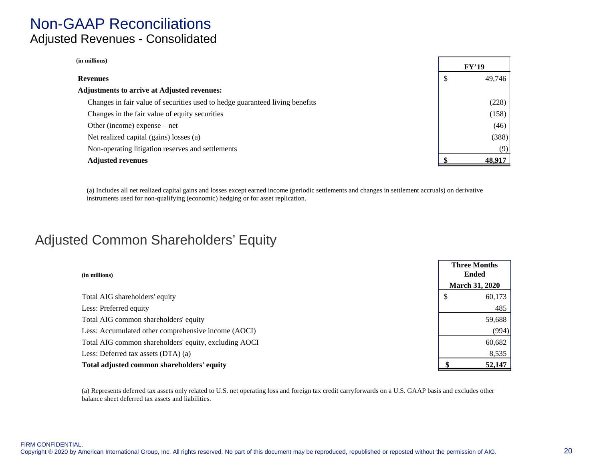## Non-GAAP Reconciliations Adjusted Revenues - Consolidated

| (in millions)                                                                |   |        |
|------------------------------------------------------------------------------|---|--------|
|                                                                              |   | FY'19  |
| <b>Revenues</b>                                                              | P | 49,746 |
| <b>Adjustments to arrive at Adjusted revenues:</b>                           |   |        |
| Changes in fair value of securities used to hedge guaranteed living benefits |   | (228)  |
| Changes in the fair value of equity securities                               |   | (158)  |
| Other (income) expense $-$ net                                               |   | (46)   |
| Net realized capital (gains) losses (a)                                      |   | (388)  |
| Non-operating litigation reserves and settlements                            |   | (9)    |
| <b>Adjusted revenues</b>                                                     |   | 48.917 |

(a) Includes all net realized capital gains and losses except earned income (periodic settlements and changes in settlement accruals) on derivative instruments used for non-qualifying (economic) hedging or for asset replication.

## Adjusted Common Shareholders' Equity

| (in millions)                                         | <b>Three Months</b><br><b>Ended</b> |  |
|-------------------------------------------------------|-------------------------------------|--|
|                                                       | <b>March 31, 2020</b>               |  |
| Total AIG shareholders' equity                        | 60,173<br>-S                        |  |
| Less: Preferred equity                                | 485                                 |  |
| Total AIG common shareholders' equity                 | 59,688                              |  |
| Less: Accumulated other comprehensive income (AOCI)   | (994)                               |  |
| Total AIG common shareholders' equity, excluding AOCI | 60,682                              |  |
| Less: Deferred tax assets $(DTA)$ (a)                 | 8,535                               |  |
| Total adjusted common shareholders' equity            | 52,147                              |  |

(a) Represents deferred tax assets only related to U.S. net operating loss and foreign tax credit carryforwards on a U.S. GAAP basis and excludes other balance sheet deferred tax assets and liabilities.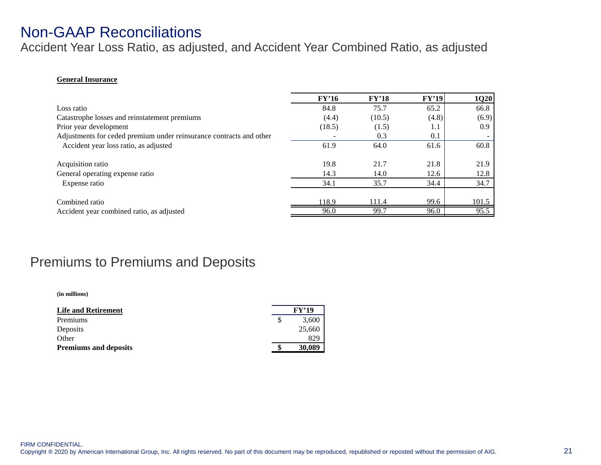## Non-GAAP Reconciliations

Accident Year Loss Ratio, as adjusted, and Accident Year Combined Ratio, as adjusted

#### **General Insurance**

|                                                                     | FY'16  | FY'18  | FY'19 | 1Q20  |
|---------------------------------------------------------------------|--------|--------|-------|-------|
| Loss ratio                                                          | 84.8   | 75.7   | 65.2  | 66.8  |
| Catastrophe losses and reinstatement premiums                       | (4.4)  | (10.5) | (4.8) | (6.9) |
| Prior year development                                              | (18.5) | (1.5)  | 1.1   | 0.9   |
| Adjustments for ceded premium under reinsurance contracts and other |        | 0.3    | 0.1   |       |
| Accident year loss ratio, as adjusted                               | 61.9   | 64.0   | 61.6  | 60.8  |
|                                                                     |        |        |       |       |
| Acquisition ratio                                                   | 19.8   | 21.7   | 21.8  | 21.9  |
| General operating expense ratio                                     | 14.3   | 14.0   | 12.6  | 12.8  |
| Expense ratio                                                       | 34.1   | 35.7   | 34.4  | 34.7  |
|                                                                     |        |        |       |       |
| Combined ratio                                                      | 118.9  | 111.4  | 99.6  | 101.5 |
| Accident year combined ratio, as adjusted                           | 96.0   | 99.7   | 96.0  | 95.5  |

## Premiums to Premiums and Deposits

**(in millions)**

| <b>Life and Retirement</b>   | <b>FY'19</b> |
|------------------------------|--------------|
| Premiums                     | 3,600        |
| Deposits                     | 25,660       |
| Other                        | 829          |
| <b>Premiums and deposits</b> | 30,089       |